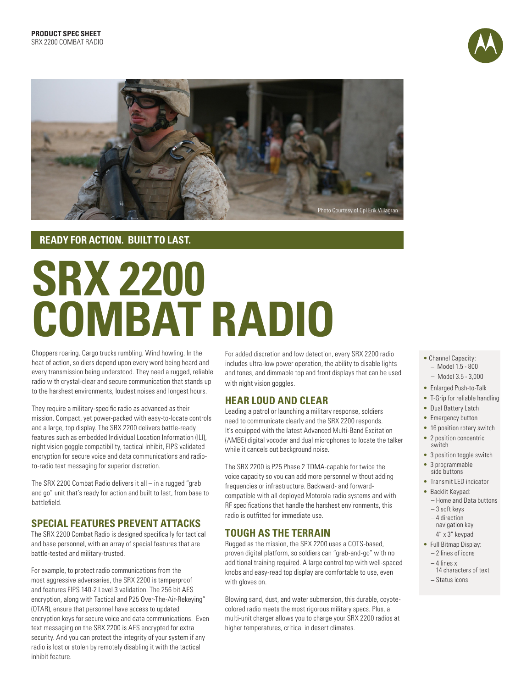



## **READY FOR ACTION. BUILT TO LAST.**

# **SRX 2200 COMBAT RADIO**

Choppers roaring. Cargo trucks rumbling. Wind howling. In the heat of action, soldiers depend upon every word being heard and every transmission being understood. They need a rugged, reliable radio with crystal-clear and secure communication that stands up to the harshest environments, loudest noises and longest hours.

They require a military-specific radio as advanced as their mission. Compact, yet power-packed with easy-to-locate controls and a large, top display. The SRX 2200 delivers battle-ready features such as embedded Individual Location Information (ILI), night vision goggle compatibility, tactical inhibit, FIPS validated encryption for secure voice and data communications and radioto-radio text messaging for superior discretion.

The SRX 2200 Combat Radio delivers it all – in a rugged "grab and go" unit that's ready for action and built to last, from base to battlefield.

## **SPECIAL FEATURES PREVENT ATTACKS**

The SRX 2200 Combat Radio is designed specifically for tactical and base personnel, with an array of special features that are battle-tested and military-trusted.

For example, to protect radio communications from the most aggressive adversaries, the SRX 2200 is tamperproof and features FIPS 140-2 Level 3 validation. The 256 bit AES encryption, along with Tactical and P25 Over-The-Air-Rekeying" (OTAR), ensure that personnel have access to updated encryption keys for secure voice and data communications. Even text messaging on the SRX 2200 is AES encrypted for extra security. And you can protect the integrity of your system if any radio is lost or stolen by remotely disabling it with the tactical inhibit feature.

For added discretion and low detection, every SRX 2200 radio includes ultra-low power operation, the ability to disable lights and tones, and dimmable top and front displays that can be used with night vision goggles.

## **HEAR LOUD AND CLEAR**

Leading a patrol or launching a military response, soldiers need to communicate clearly and the SRX 2200 responds. It's equipped with the latest Advanced Multi-Band Excitation (AMBE) digital vocoder and dual microphones to locate the talker while it cancels out background noise.

The SRX 2200 is P25 Phase 2 TDMA-capable for twice the voice capacity so you can add more personnel without adding frequencies or infrastructure. Backward- and forwardcompatible with all deployed Motorola radio systems and with RF specifications that handle the harshest environments, this radio is outfitted for immediate use.

## **TOUGH AS THE TERRAIN**

Rugged as the mission, the SRX 2200 uses a COTS-based, proven digital platform, so soldiers can "grab-and-go" with no additional training required. A large control top with well-spaced knobs and easy-read top display are comfortable to use, even with gloves on.

Blowing sand, dust, and water submersion, this durable, coyotecolored radio meets the most rigorous military specs. Plus, a multi-unit charger allows you to charge your SRX 2200 radios at higher temperatures, critical in desert climates.

- Channel Capacity: **\_** Model 1.5 - 800
	- **\_** Model 3.5 3,000
- Enlarged Push-to-Talk
- T-Grip for reliable handling
- Dual Battery Latch
- Emergency button
- 16 position rotary switch • 2 position concentric
	- switch
	- 3 position toggle switch • 3 programmable
- side buttons
- Transmit LED indicator
- Backlit Keypad: **\_** Home and Data buttons
- **\_** 3 soft keys
- **\_** 4 direction navigation key
- **\_** 4" x 3" keypad
- Full Bitmap Display: **\_** 2 lines of icons
	- **\_** 4 lines x
	- 14 characters of text **\_** Status icons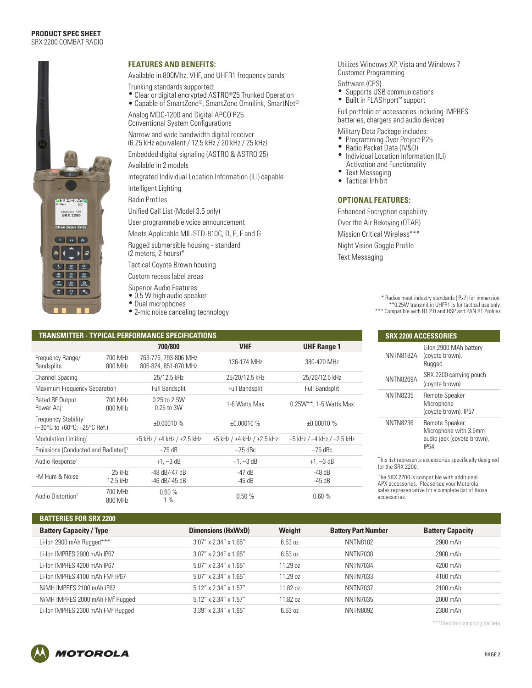#### **PRODUCT SPEC SHEET** SRX 2200 COMBAT RADIO



#### **FEATURES AND BENEFITS:**

Available in 800Mhz, VHF, and UHFR1 frequency bands

Trunking standards supported:

• Clear or digital encrypted ASTRO®25 Trunked Operation

• Capable of SmartZone®, SmartZone Omnilink, SmartNet® Analog MDC-1200 and Digital APCO P25 Conventional System Configurations

Narrow and wide bandwidth digital receiver (6.25 kHz equivalent / 12.5 kHz / 20 kHz / 25 kHz)

Embedded digital signaling (ASTRO & ASTRO 25)

Available in 2 models

Integrated Individual Location Information (ILI) capable

Intelligent Lighting

Radio Profiles

Unified Call List (Model 3.5 only)

User programmable voice announcement

Meets Applicable MIL-STD-810C, D, E, F and G

Rugged submersible housing - standard (2 meters, 2 hours)\*

Tactical Coyote Brown housing

Custom recess label areas

- Superior Audio Features:
- 0.5 W high audio speaker
- Dual microphones
- 2-mic noise canceling technology

#### Utilizes Windows XP, Vista and Windows 7 Customer Programming

- 
- Software (CPS)<br>• Supports USB communications
- Built in FLASHport™ support

Full portfolio of accessories including IMPRES batteries, chargers and audio devices

Military Data Package includes:<br>• Programming Over Project P25

- Programming Over Project P25 Radio Packet Data (IV&D) Individual Location Information (ILI)
- 
- 
- Activation and Functionality<br>• Toxt Mossaging **Text Messaging**
- Tactical Inhibit

### **OPTIONAL FEATURES:**

Enhanced Encryption capability Over the Air Rekeying (OTAR) Mission Critical Wireless\*\*\* Night Vision Goggle Profile Text Messaging

> \* Radios meet industry standards (IPx7) for immersion. \*\*0.25W transmit in UHFR1 is for tactical use only.

\*\*\* Compatible with BT 2.0 and HSP and PAN BT Profiles

| <b>TRANSMITTER - TYPICAL PERFORMANCE SPECIFICATIONS</b>          |                    |                                              |                                           |                                           |
|------------------------------------------------------------------|--------------------|----------------------------------------------|-------------------------------------------|-------------------------------------------|
|                                                                  |                    | 700/800                                      | <b>VHF</b>                                | <b>UHF Range 1</b>                        |
| Frequency Range/<br><b>Bandsplits</b>                            | 700 MHz<br>800 MHz | 763-776, 793-806 MHz<br>806-824, 851-870 MHz | 136-174 MHz                               | 380-470 MHz                               |
| <b>Channel Spacing</b>                                           |                    | 25/12.5 kHz                                  | 25/20/12.5 kHz                            | 25/20/12.5 kHz                            |
| Maximum Frequency Separation                                     |                    | <b>Full Bandsplit</b>                        | <b>Full Bandsplit</b>                     | <b>Full Bandsplit</b>                     |
| Rated RF Output<br>Power Adj <sup>1</sup>                        | 700 MHz<br>800 MHz | 0.25 to 2.5W<br>0.25 to 3W                   | 1-6 Watts Max                             | $0.25W^{**}$ , 1-5 Watts Max              |
| Frequency Stability <sup>1</sup><br>(-30°C to +60°C; +25°C Ref.) |                    | ±0.00010%                                    | ±0.00010%                                 | ±0.00010%                                 |
| Modulation Limiting <sup>1</sup>                                 |                    | $\pm 5$ kHz / $\pm 4$ kHz / $\pm 2.5$ kHz    | $\pm 5$ kHz / $\pm 4$ kHz / $\pm 2.5$ kHz | $\pm 5$ kHz / $\pm 4$ kHz / $\pm 2.5$ kHz |
| Emissions (Conducted and Radiated) <sup>1</sup>                  |                    | $-75$ dB                                     | $-75$ dBc                                 | $-75$ dBc                                 |
| Audio Response <sup>1</sup>                                      |                    | $+1, -3$ dB                                  | $+1, -3$ dB                               | $+1, -3$ dB                               |
| FM Hum & Noise                                                   | 25 kHz<br>12.5 kHz | -48 dB/-47 dB<br>-46 dB/-45 dB               | $-47$ dB<br>-45 dB                        | $-48$ dB<br>-45 dB                        |
| Audio Distortion <sup>1</sup>                                    | 700 MHz<br>800 MHz | 0.60%<br>$1\%$                               | 0.50%                                     | 0.60%                                     |

| <b>SRX 2200 ACCESSORIES</b> |                                                                                      |  |  |  |
|-----------------------------|--------------------------------------------------------------------------------------|--|--|--|
| <b>NNTN8182A</b>            | Lilon 2900 MAh battery<br>(coyote brown),<br>Rugged                                  |  |  |  |
| NNTN8269A                   | SRX 2200 carrying pouch<br>(coyote brown)                                            |  |  |  |
| <b>NNTN8235</b>             | Remote Speaker<br>Microphone<br>(coyote brown), IP57                                 |  |  |  |
| <b>NNTN8236</b>             | Remote Speaker<br>Microphone with 3.5mm<br>audio jack (coyote brown),<br><b>IP54</b> |  |  |  |
|                             | This list represents accessories specifically designed                               |  |  |  |

This list represents accessories specifically designed for the SRX 2200.

The SRX 2200 is compatible with additional APX accessories. Please see your Motorola sales representative for a complete list of those accessories.

| 1981 1981 1992 1993 1994 22.99                |                          |          |                            |                         |
|-----------------------------------------------|--------------------------|----------|----------------------------|-------------------------|
| <b>Battery Capacity / Type</b>                | Dimensions (HxWxD)       | Weight   | <b>Battery Part Number</b> | <b>Battery Capacity</b> |
| Li-lon 2900 mAh Rugged***                     | $3.07''$ x 2.34" x 1.65" | 6.53 oz  | <b>NNTN8182</b>            | 2900 mAh                |
| Li-Ion IMPRES 2900 mAh IP67                   | $3.07''$ x 2.34" x 1.65" | 6.53 oz  | <b>NNTN7038</b>            | 2900 mAh                |
| Li-Ion IMPRES 4200 mAh IP67                   | 5.07" x 2.34" x 1.65"    | 11.29 oz | <b>NNTN7034</b>            | 4200 mAh                |
| Li-Ion IMPRES 4100 mAh FM <sup>2</sup> IP67   | 5.07" x 2.34" x 1.65"    | 11.29 oz | <b>NNTN7033</b>            | 4100 mAh                |
| NiMH IMPRES 2100 mAh IP67                     | 5.12" x 2.34" x 1.57"    | 11.82 oz | <b>NNTN7037</b>            | 2100 mAh                |
| NiMH IMPRES 2000 mAh FM <sup>2</sup> Rugged   | 5.12" x 2.34" x 1.57"    | 11.82 oz | <b>NNTN7035</b>            | 2000 mAh                |
| Li-Ion IMPRES 2300 mAh FM <sup>2</sup> Rugged | 3.39" x 2.34" x 1.65"    | 6.53 oz  | <b>NNTN8092</b>            | 2300 mAh                |

\*\*\*Standard shipping battery



**BATTEBIES END SPY 2200**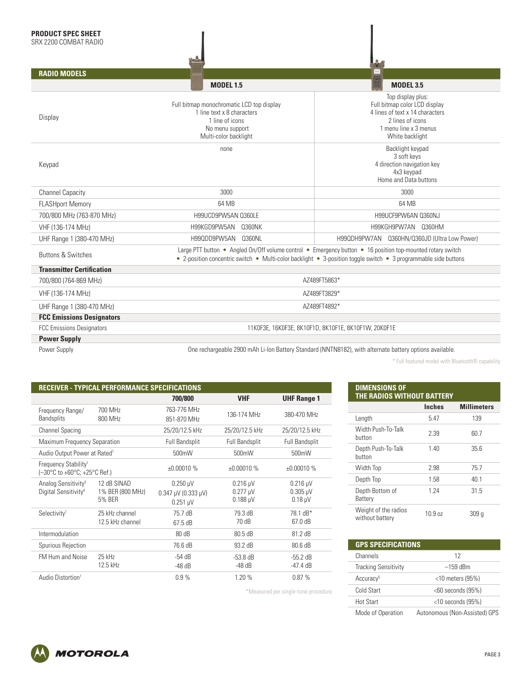| <b>RADIO MODELS</b>              |                                                                                                                                        | $_{\rm max}$                                                                                                                                                                                                                  |  |  |  |
|----------------------------------|----------------------------------------------------------------------------------------------------------------------------------------|-------------------------------------------------------------------------------------------------------------------------------------------------------------------------------------------------------------------------------|--|--|--|
|                                  | <b>MODEL 1.5</b>                                                                                                                       | <b>MODEL 3.5</b>                                                                                                                                                                                                              |  |  |  |
| Display                          | Full bitmap monochromatic LCD top display<br>1 line text x 8 characters<br>1 line of icons<br>No menu support<br>Multi-color backlight | Top display plus:<br>Full bitmap color LCD display<br>4 lines of text x 14 characters<br>2 lines of icons<br>1 menu line x 3 menus<br>White backlight                                                                         |  |  |  |
| Keypad                           | none                                                                                                                                   | Backlight keypad<br>3 soft keys<br>4 direction navigation key<br>4x3 keypad<br>Home and Data buttons                                                                                                                          |  |  |  |
| <b>Channel Capacity</b>          | 3000                                                                                                                                   | 3000                                                                                                                                                                                                                          |  |  |  |
| <b>FLASHport Memory</b>          | 64 MB                                                                                                                                  | 64 MB                                                                                                                                                                                                                         |  |  |  |
| 700/800 MHz (763-870 MHz)        | H99UCD9PW5AN 0360LE                                                                                                                    | H99UCF9PW6AN 0360NJ                                                                                                                                                                                                           |  |  |  |
| VHF (136-174 MHz)                | H99KGD9PW5AN<br><b>Q360NK</b>                                                                                                          | H99KGH9PW7AN 0360HM                                                                                                                                                                                                           |  |  |  |
| UHF Range 1 (380-470 MHz)        | H99QDD9PW5AN<br>0360NL                                                                                                                 | H99QDH9PW7AN Q360HN/Q360JD (Ultra Low Power)                                                                                                                                                                                  |  |  |  |
| <b>Buttons &amp; Switches</b>    |                                                                                                                                        | Large PTT button • Angled On/Off volume control • Emergency button • 16 position top-mounted rotary switch<br>• 2-position concentric switch • Multi-color backlight • 3-position toggle switch • 3 programmable side buttons |  |  |  |
| <b>Transmitter Certification</b> |                                                                                                                                        |                                                                                                                                                                                                                               |  |  |  |
| 700/800 (764-869 MHz)            |                                                                                                                                        | AZ489FT5863*                                                                                                                                                                                                                  |  |  |  |
| VHF (136-174 MHz)                | AZ489FT3829*                                                                                                                           |                                                                                                                                                                                                                               |  |  |  |
| UHF Range 1 (380-470 MHz)        | AZ489FT4892*                                                                                                                           |                                                                                                                                                                                                                               |  |  |  |
| <b>FCC Emissions Designators</b> |                                                                                                                                        |                                                                                                                                                                                                                               |  |  |  |
| <b>FCC Emissions Designators</b> |                                                                                                                                        | 11K0F3E, 16K0F3E, 8K10F1D, 8K10F1E, 8K10F1W, 20K0F1E                                                                                                                                                                          |  |  |  |
| <b>Power Supply</b>              |                                                                                                                                        |                                                                                                                                                                                                                               |  |  |  |
| Power Supply                     | One rechargeable 2900 mAh Li-Ion Battery Standard (NNTN8182), with alternate battery options available.                                |                                                                                                                                                                                                                               |  |  |  |

\*Measured per single-tone procedure

\* Full featured model with Bluetooth® capability

|                                                                     | <b>RECEIVER - TYPICAL PERFORMANCE SPECIFICATIONS</b> |                                                                             |                                              |                                             |
|---------------------------------------------------------------------|------------------------------------------------------|-----------------------------------------------------------------------------|----------------------------------------------|---------------------------------------------|
|                                                                     |                                                      | 700/800                                                                     | <b>VHF</b>                                   | <b>UHF Range 1</b>                          |
| Frequency Range/<br><b>Bandsplits</b>                               | 700 MHz<br>800 MHz                                   | 763-776 MHz<br>851-870 MHz                                                  | 136-174 MHz                                  | 380-470 MHz                                 |
| <b>Channel Spacing</b>                                              |                                                      | 25/20/12.5 kHz                                                              | 25/20/12.5 kHz                               | 25/20/12.5 kHz                              |
| Maximum Frequency Separation                                        |                                                      | <b>Full Bandsplit</b>                                                       | <b>Full Bandsplit</b>                        | Full Bandsplit                              |
| Audio Output Power at Rated <sup>1</sup>                            |                                                      | 500mW                                                                       | 500mW                                        | 500mW                                       |
| Frequency Stability <sup>1</sup><br>(-30°C to +60°C; +25°C Ref.)    |                                                      | ±0.00010%                                                                   | ±0.00010%                                    | ±0.00010%                                   |
| Analog Sensitivity <sup>3</sup><br>Digital Sensitivity <sup>4</sup> | 12 dB SINAD<br>1% BER (800 MHz)<br>5% BER            | $0.250 \mu V$<br>$0.347 \mu V (0.333 \mu V)$<br>$0.251 \text{ }\mu\text{V}$ | $0.216 \mu V$<br>$0.277 \mu V$<br>$0.188$ µV | $0.216$ µV<br>$0.305 \mu V$<br>$0.18 \mu V$ |
| Selectivity <sup>1</sup>                                            | 25 kHz channel<br>12.5 kHz channel                   | 75.7 dB<br>67.5 dB                                                          | 79.3 dB<br>70 dB                             | 78.1 dB*<br>67.0 dB                         |
| Intermodulation                                                     |                                                      | 80 dB                                                                       | 80.5 dB                                      | 81.2 dB                                     |
| Spurious Rejection                                                  |                                                      | 76.6 dB                                                                     | 93.2 dB                                      | 80.6 dB                                     |
| <b>FM Hum and Noise</b>                                             | 25 kHz<br>12.5 kHz                                   | $-54dB$<br>$-48$ dB                                                         | $-53.8$ dB<br>$-48$ dB                       | $-55.2$ dB<br>$-47.4 \text{ dB}$            |
| Audio Distortion <sup>1</sup>                                       |                                                      | 0.9%                                                                        | 1.20 %                                       | 0.87%                                       |

| <b>DIMENSIONS OF</b><br>THE RADIOS WITHOUT BATTERY |               |                    |  |  |
|----------------------------------------------------|---------------|--------------------|--|--|
|                                                    | <b>Inches</b> | <b>Millimeters</b> |  |  |
| Length                                             | 5.47          | 139                |  |  |
| Width Push-To-Talk<br>button                       | 2.39          | 60.7               |  |  |
| Depth Push-To-Talk<br>button                       | 1.40          | 35.6               |  |  |
| Width Top                                          | 2.98          | 75.7               |  |  |
| Depth Top                                          | 1.58          | 40.1               |  |  |
| Depth Bottom of<br>Battery                         | 1.24          | 31.5               |  |  |
| Weight of the radios<br>without battery            | 10.9 oz       | 309 q              |  |  |

| <b>GPS SPECIFICATIONS</b> |                      |
|---------------------------|----------------------|
| Channels                  | 12                   |
| Tracking Sensitivity      | $-159$ dBm           |
| Accuracy <sup>5</sup>     | $<$ 10 meters (95%)  |
| Cold Start                | $<$ 60 seconds (95%) |
| Hot Start                 | $<$ 10 seconds (95%) |
|                           |                      |

Mode of Operation Autonomous (Non-Assisted) GPS